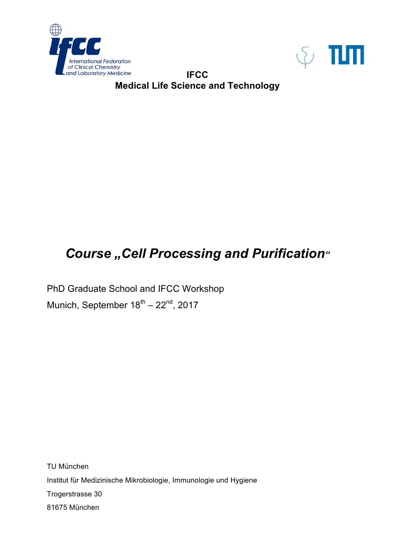



**IFCC Medical Life Science and Technology**

## **Course "Cell Processing and Purification"**

PhD Graduate School and IFCC Workshop Munich, September  $18^{th} - 22^{nd}$ , 2017

TU München Institut für Medizinische Mikrobiologie, Immunologie und Hygiene Trogerstrasse 30 81675 München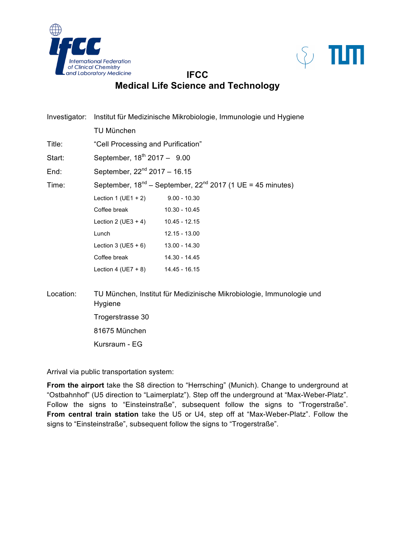



**IFCC Medical Life Science and Technology**

|           | Investigator: Institut für Medizinische Mikrobiologie, Immunologie und Hygiene  |                 |  |  |
|-----------|---------------------------------------------------------------------------------|-----------------|--|--|
|           | <b>TU München</b>                                                               |                 |  |  |
| Title:    | "Cell Processing and Purification"                                              |                 |  |  |
| Start:    | September, 18 <sup>th</sup> 2017 - 9.00                                         |                 |  |  |
| End:      | September, $22^{nd}$ 2017 - 16.15                                               |                 |  |  |
| Time:     | September, $18^{nd}$ – September, $22^{nd}$ 2017 (1 UE = 45 minutes)            |                 |  |  |
|           | Lection 1 (UE1 + 2) $9.00 - 10.30$                                              |                 |  |  |
|           | Coffee break                                                                    | 10.30 - 10.45   |  |  |
|           | Lection 2 (UE3 + 4)                                                             | 10.45 - 12.15   |  |  |
|           | Lunch                                                                           | $12.15 - 13.00$ |  |  |
|           | Lection 3 (UE5 + 6)                                                             | 13.00 - 14.30   |  |  |
|           | Coffee break                                                                    | 14.30 - 14.45   |  |  |
|           | Lection 4 (UE7 + 8) $14.45 - 16.15$                                             |                 |  |  |
| Location: | TU München, Institut für Medizinische Mikrobiologie, Immunologie und<br>Hygiene |                 |  |  |
|           | Trogerstrasse 30                                                                |                 |  |  |
|           | 81675 München                                                                   |                 |  |  |
|           | Kursraum - EG                                                                   |                 |  |  |

Arrival via public transportation system:

**From the airport** take the S8 direction to "Herrsching" (Munich). Change to underground at "Ostbahnhof" (U5 direction to "Laimerplatz"). Step off the underground at "Max-Weber-Platz". Follow the signs to "Einsteinstraße", subsequent follow the signs to "Trogerstraße". **From central train station** take the U5 or U4, step off at "Max-Weber-Platz". Follow the signs to "Einsteinstraße", subsequent follow the signs to "Trogerstraße".